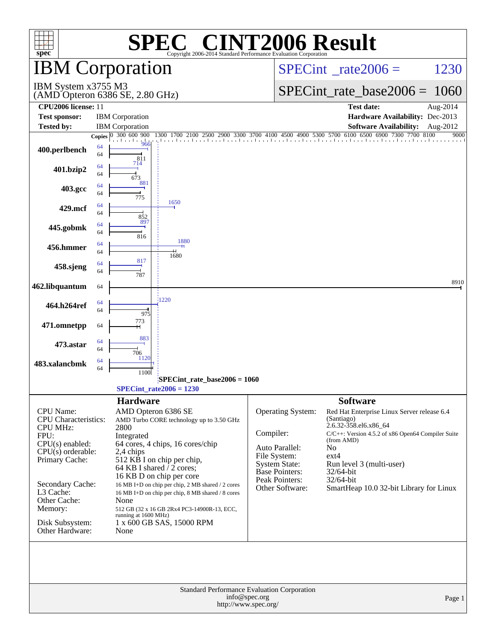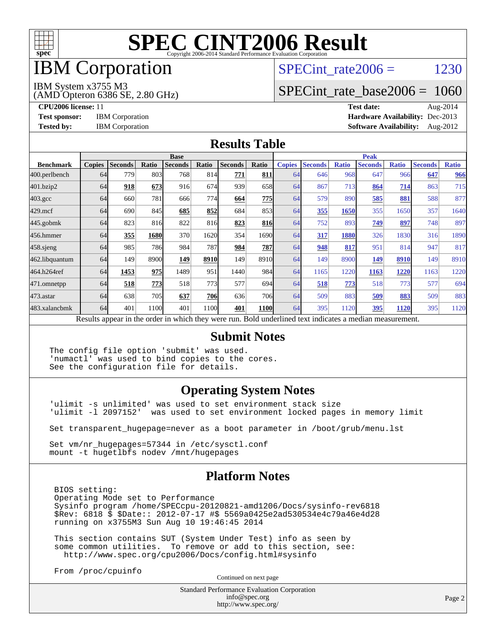

# IBM Corporation

### SPECint rate $2006 = 1230$

#### IBM System x3755 M3

(AMD Opteron 6386 SE, 2.80 GHz)

[SPECint\\_rate\\_base2006 =](http://www.spec.org/auto/cpu2006/Docs/result-fields.html#SPECintratebase2006) 1060

**[CPU2006 license:](http://www.spec.org/auto/cpu2006/Docs/result-fields.html#CPU2006license)** 11 **[Test date:](http://www.spec.org/auto/cpu2006/Docs/result-fields.html#Testdate)** Aug-2014 **[Test sponsor:](http://www.spec.org/auto/cpu2006/Docs/result-fields.html#Testsponsor)** IBM Corporation **[Hardware Availability:](http://www.spec.org/auto/cpu2006/Docs/result-fields.html#HardwareAvailability)** Dec-2013 **[Tested by:](http://www.spec.org/auto/cpu2006/Docs/result-fields.html#Testedby)** IBM Corporation **[Software Availability:](http://www.spec.org/auto/cpu2006/Docs/result-fields.html#SoftwareAvailability)** Aug-2012

#### **[Results Table](http://www.spec.org/auto/cpu2006/Docs/result-fields.html#ResultsTable)**

|                                                                                                          | <b>Base</b>   |                |       |                |            | <b>Peak</b>    |             |               |                |              |                |              |                |              |
|----------------------------------------------------------------------------------------------------------|---------------|----------------|-------|----------------|------------|----------------|-------------|---------------|----------------|--------------|----------------|--------------|----------------|--------------|
| <b>Benchmark</b>                                                                                         | <b>Copies</b> | <b>Seconds</b> | Ratio | <b>Seconds</b> | Ratio      | <b>Seconds</b> | Ratio       | <b>Copies</b> | <b>Seconds</b> | <b>Ratio</b> | <b>Seconds</b> | <b>Ratio</b> | <b>Seconds</b> | <b>Ratio</b> |
| 400.perlbench                                                                                            | 64            | 779            | 803   | 768            | 814        | 771            | 811         | 64            | 646            | 968          | 647            | 966          | 647            | 966          |
| 401.bzip2                                                                                                | 64            | 918            | 673   | 916            | 674        | 939            | 658         | 64            | 867            | 713          | 864            | 714          | 863            | 715          |
| $403.\mathrm{gcc}$                                                                                       | 64            | 660            | 781   | 666            | 774        | 664            | 775         | 64            | 579            | 890          | 585            | 881          | 588            | 877          |
| $429$ .mcf                                                                                               | 64            | 690            | 845   | 685            | 852        | 684            | 853         | 64            | 355            | 1650         | 355            | 1650         | 357            | 1640         |
| $445$ .gobmk                                                                                             | 64            | 823            | 816   | 822            | 816        | 823            | 816         | 64            | 752            | 893          | 749            | 897          | 748            | 897          |
| 456.hmmer                                                                                                | 64            | 355            | 1680  | 370            | 1620       | 354            | 16901       | 64            | 317            | 1880         | 326            | 1830         | 316            | 1890         |
| $458$ .sjeng                                                                                             | 64            | 985            | 786   | 984            | 787        | 984            | 787         | 64            | 948            | 817          | 951            | 814          | 947            | 817          |
| 462.libquantum                                                                                           | 64            | 149            | 8900  | 149            | 8910       | 149            | 8910        | 64            | 149            | 8900         | 149            | 8910         | 149            | 8910         |
| 464.h264ref                                                                                              | 64            | 1453           | 975   | 1489           | 951        | 1440           | 984         | 64            | 1165           | 1220         | 1163           | 1220         | 1163           | 1220         |
| 471.omnetpp                                                                                              | 64            | 518            | 773   | 518            | 773        | 577            | 694         | 64            | 518            | 773          | 518            | 773          | 577            | 694          |
| 473.astar                                                                                                | 64            | 638            | 705   | 637            | <b>706</b> | 636            | 706         | 64            | 509            | 883          | 509            | 883          | 509            | 883          |
| 483.xalancbmk                                                                                            | 64            | 401            | 1100  | 401            | 1100       | 401            | <b>1100</b> | 64            | 395            | 1120         | 395            | 1120         | 395            | 1120         |
| Results appear in the order in which they were run. Bold underlined text indicates a median measurement. |               |                |       |                |            |                |             |               |                |              |                |              |                |              |

#### **[Submit Notes](http://www.spec.org/auto/cpu2006/Docs/result-fields.html#SubmitNotes)**

The config file option 'submit' was used. 'numactl' was used to bind copies to the cores. See the configuration file for details.

#### **[Operating System Notes](http://www.spec.org/auto/cpu2006/Docs/result-fields.html#OperatingSystemNotes)**

'ulimit -s unlimited' was used to set environment stack size 'ulimit -l 2097152' was used to set environment locked pages in memory limit

Set transparent\_hugepage=never as a boot parameter in /boot/grub/menu.lst

Set vm/nr\_hugepages=57344 in /etc/sysctl.conf mount -t hugetlbfs nodev /mnt/hugepages

#### **[Platform Notes](http://www.spec.org/auto/cpu2006/Docs/result-fields.html#PlatformNotes)**

 BIOS setting: Operating Mode set to Performance Sysinfo program /home/SPECcpu-20120821-amd1206/Docs/sysinfo-rev6818 \$Rev: 6818 \$ \$Date:: 2012-07-17 #\$ 5569a0425e2ad530534e4c79a46e4d28 running on x3755M3 Sun Aug 10 19:46:45 2014

 This section contains SUT (System Under Test) info as seen by some common utilities. To remove or add to this section, see: <http://www.spec.org/cpu2006/Docs/config.html#sysinfo>

From /proc/cpuinfo

Continued on next page

Standard Performance Evaluation Corporation [info@spec.org](mailto:info@spec.org) <http://www.spec.org/>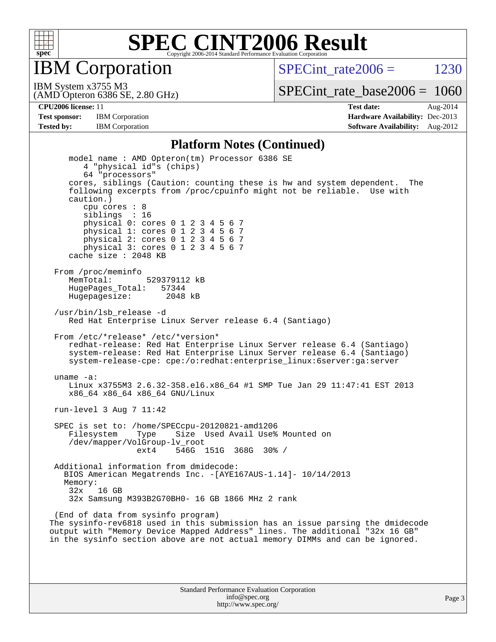

IBM Corporation

SPECint rate $2006 = 1230$ 

(AMD Opteron 6386 SE, 2.80 GHz) IBM System x3755 M3

[SPECint\\_rate\\_base2006 =](http://www.spec.org/auto/cpu2006/Docs/result-fields.html#SPECintratebase2006) 1060

**[CPU2006 license:](http://www.spec.org/auto/cpu2006/Docs/result-fields.html#CPU2006license)** 11 **[Test date:](http://www.spec.org/auto/cpu2006/Docs/result-fields.html#Testdate)** Aug-2014 **[Test sponsor:](http://www.spec.org/auto/cpu2006/Docs/result-fields.html#Testsponsor)** IBM Corporation **[Hardware Availability:](http://www.spec.org/auto/cpu2006/Docs/result-fields.html#HardwareAvailability)** Dec-2013 **[Tested by:](http://www.spec.org/auto/cpu2006/Docs/result-fields.html#Testedby)** IBM Corporation **[Software Availability:](http://www.spec.org/auto/cpu2006/Docs/result-fields.html#SoftwareAvailability)** Aug-2012

#### **[Platform Notes \(Continued\)](http://www.spec.org/auto/cpu2006/Docs/result-fields.html#PlatformNotes)**

 model name : AMD Opteron(tm) Processor 6386 SE 4 "physical id"s (chips) 64 "processors" cores, siblings (Caution: counting these is hw and system dependent. The following excerpts from /proc/cpuinfo might not be reliable. Use with caution.) cpu cores : 8 siblings : 16 physical 0: cores 0 1 2 3 4 5 6 7 physical 1: cores 0 1 2 3 4 5 6 7 physical 2: cores 0 1 2 3 4 5 6 7 physical 3: cores 0 1 2 3 4 5 6 7 cache size : 2048 KB From /proc/meminfo MemTotal: 529379112 kB<br>HugePages Total: 57344 HugePages\_Total: 57344 Hugepagesize: 2048 kB /usr/bin/lsb\_release -d Red Hat Enterprise Linux Server release 6.4 (Santiago) From /etc/\*release\* /etc/\*version\* redhat-release: Red Hat Enterprise Linux Server release 6.4 (Santiago) system-release: Red Hat Enterprise Linux Server release 6.4 (Santiago) system-release-cpe: cpe:/o:redhat:enterprise\_linux:6server:ga:server uname -a: Linux x3755M3 2.6.32-358.el6.x86\_64 #1 SMP Tue Jan 29 11:47:41 EST 2013 x86\_64 x86\_64 x86\_64 GNU/Linux run-level 3 Aug 7 11:42 SPEC is set to: /home/SPECcpu-20120821-amd1206 Filesystem Type Size Used Avail Use% Mounted on /dev/mapper/VolGroup-lv\_root ext4 546G 151G 368G 30% / Additional information from dmidecode: BIOS American Megatrends Inc. -[AYE167AUS-1.14]- 10/14/2013 Memory: 32x 16 GB 32x Samsung M393B2G70BH0- 16 GB 1866 MHz 2 rank (End of data from sysinfo program) The sysinfo-rev6818 used in this submission has an issue parsing the dmidecode output with "Memory Device Mapped Address" lines. The additional "32x 16 GB" in the sysinfo section above are not actual memory DIMMs and can be ignored.

> Standard Performance Evaluation Corporation [info@spec.org](mailto:info@spec.org) <http://www.spec.org/>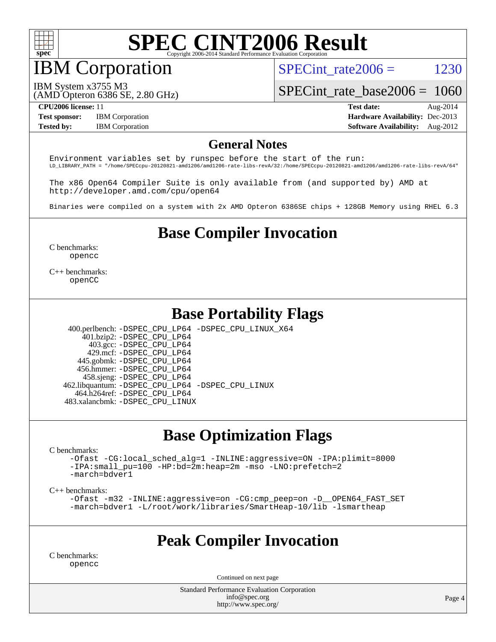

**IBM** Corporation

SPECint rate $2006 = 1230$ 

IBM System x3755 M3

(AMD Opteron 6386 SE, 2.80 GHz)

[SPECint\\_rate\\_base2006 =](http://www.spec.org/auto/cpu2006/Docs/result-fields.html#SPECintratebase2006) 1060

**[Test sponsor:](http://www.spec.org/auto/cpu2006/Docs/result-fields.html#Testsponsor)** IBM Corporation **[Hardware Availability:](http://www.spec.org/auto/cpu2006/Docs/result-fields.html#HardwareAvailability)** Dec-2013

**[CPU2006 license:](http://www.spec.org/auto/cpu2006/Docs/result-fields.html#CPU2006license)** 11 **[Test date:](http://www.spec.org/auto/cpu2006/Docs/result-fields.html#Testdate)** Aug-2014 **[Tested by:](http://www.spec.org/auto/cpu2006/Docs/result-fields.html#Testedby)** IBM Corporation **[Software Availability:](http://www.spec.org/auto/cpu2006/Docs/result-fields.html#SoftwareAvailability)** Aug-2012

#### **[General Notes](http://www.spec.org/auto/cpu2006/Docs/result-fields.html#GeneralNotes)**

Environment variables set by runspec before the start of the run: LD\_LIBRARY\_PATH = "/home/SPECcpu-20120821-amd1206/amd1206-rate-libs-revA/32:/home/SPECcpu-20120821-amd1206/amd1206-rate-libs-revA/64"

The x86 Open64 Compiler Suite is only available from (and supported by) AMD at <http://developer.amd.com/cpu/open64>

Binaries were compiled on a system with 2x AMD Opteron 6386SE chips + 128GB Memory using RHEL 6.3

### **[Base Compiler Invocation](http://www.spec.org/auto/cpu2006/Docs/result-fields.html#BaseCompilerInvocation)**

[C benchmarks](http://www.spec.org/auto/cpu2006/Docs/result-fields.html#Cbenchmarks): [opencc](http://www.spec.org/cpu2006/results/res2014q3/cpu2006-20140812-30909.flags.html#user_CCbase_Fopencc)

[C++ benchmarks:](http://www.spec.org/auto/cpu2006/Docs/result-fields.html#CXXbenchmarks) [openCC](http://www.spec.org/cpu2006/results/res2014q3/cpu2006-20140812-30909.flags.html#user_CXXbase_FopenCC)

#### **[Base Portability Flags](http://www.spec.org/auto/cpu2006/Docs/result-fields.html#BasePortabilityFlags)**

 400.perlbench: [-DSPEC\\_CPU\\_LP64](http://www.spec.org/cpu2006/results/res2014q3/cpu2006-20140812-30909.flags.html#b400.perlbench_basePORTABILITY_DSPEC_CPU_LP64) [-DSPEC\\_CPU\\_LINUX\\_X64](http://www.spec.org/cpu2006/results/res2014q3/cpu2006-20140812-30909.flags.html#b400.perlbench_baseCPORTABILITY_DSPEC_CPU_LINUX_X64) 401.bzip2: [-DSPEC\\_CPU\\_LP64](http://www.spec.org/cpu2006/results/res2014q3/cpu2006-20140812-30909.flags.html#suite_basePORTABILITY401_bzip2_DSPEC_CPU_LP64) 403.gcc: [-DSPEC\\_CPU\\_LP64](http://www.spec.org/cpu2006/results/res2014q3/cpu2006-20140812-30909.flags.html#suite_basePORTABILITY403_gcc_DSPEC_CPU_LP64) 429.mcf: [-DSPEC\\_CPU\\_LP64](http://www.spec.org/cpu2006/results/res2014q3/cpu2006-20140812-30909.flags.html#suite_basePORTABILITY429_mcf_DSPEC_CPU_LP64) 445.gobmk: [-DSPEC\\_CPU\\_LP64](http://www.spec.org/cpu2006/results/res2014q3/cpu2006-20140812-30909.flags.html#suite_basePORTABILITY445_gobmk_DSPEC_CPU_LP64) 456.hmmer: [-DSPEC\\_CPU\\_LP64](http://www.spec.org/cpu2006/results/res2014q3/cpu2006-20140812-30909.flags.html#suite_basePORTABILITY456_hmmer_DSPEC_CPU_LP64) 458.sjeng: [-DSPEC\\_CPU\\_LP64](http://www.spec.org/cpu2006/results/res2014q3/cpu2006-20140812-30909.flags.html#suite_basePORTABILITY458_sjeng_DSPEC_CPU_LP64) 462.libquantum: [-DSPEC\\_CPU\\_LP64](http://www.spec.org/cpu2006/results/res2014q3/cpu2006-20140812-30909.flags.html#suite_basePORTABILITY462_libquantum_DSPEC_CPU_LP64) [-DSPEC\\_CPU\\_LINUX](http://www.spec.org/cpu2006/results/res2014q3/cpu2006-20140812-30909.flags.html#b462.libquantum_baseCPORTABILITY_DSPEC_CPU_LINUX) 464.h264ref: [-DSPEC\\_CPU\\_LP64](http://www.spec.org/cpu2006/results/res2014q3/cpu2006-20140812-30909.flags.html#suite_basePORTABILITY464_h264ref_DSPEC_CPU_LP64)

483.xalancbmk: [-DSPEC\\_CPU\\_LINUX](http://www.spec.org/cpu2006/results/res2014q3/cpu2006-20140812-30909.flags.html#b483.xalancbmk_baseCXXPORTABILITY_DSPEC_CPU_LINUX)

### **[Base Optimization Flags](http://www.spec.org/auto/cpu2006/Docs/result-fields.html#BaseOptimizationFlags)**

[C benchmarks](http://www.spec.org/auto/cpu2006/Docs/result-fields.html#Cbenchmarks):

[-Ofast](http://www.spec.org/cpu2006/results/res2014q3/cpu2006-20140812-30909.flags.html#user_CCbase_F-Ofast) [-CG:local\\_sched\\_alg=1](http://www.spec.org/cpu2006/results/res2014q3/cpu2006-20140812-30909.flags.html#user_CCbase_F-CG:local_sched_alg_2175ca61f1a2717f1ec57b14995b9e7a) [-INLINE:aggressive=ON](http://www.spec.org/cpu2006/results/res2014q3/cpu2006-20140812-30909.flags.html#user_CCbase_F-INLINE:aggressive_1968a21fda3b9e485676870015f71302) [-IPA:plimit=8000](http://www.spec.org/cpu2006/results/res2014q3/cpu2006-20140812-30909.flags.html#user_CCbase_F-IPA:plimit_92cba83f3d47f09c7d5368fda93ddbd7) [-IPA:small\\_pu=100](http://www.spec.org/cpu2006/results/res2014q3/cpu2006-20140812-30909.flags.html#user_CCbase_F-IPA:small_pu_900a09767c6929d55c26ea3d32399996) [-HP:bd=2m:heap=2m](http://www.spec.org/cpu2006/results/res2014q3/cpu2006-20140812-30909.flags.html#user_CCbase_F-HUGEPAGE_539c723a9f9bd1bd95cd839aeb740bae) [-mso](http://www.spec.org/cpu2006/results/res2014q3/cpu2006-20140812-30909.flags.html#user_CCbase_F-mso) [-LNO:prefetch=2](http://www.spec.org/cpu2006/results/res2014q3/cpu2006-20140812-30909.flags.html#user_CCbase_F-LNO:prefetch_9aee81855ba0592a3c8a40ba7b041143) [-march=bdver1](http://www.spec.org/cpu2006/results/res2014q3/cpu2006-20140812-30909.flags.html#user_CCbase_F-march_fdb9f2653a6b3eaa60be4cf93a9ba5f3)

[C++ benchmarks:](http://www.spec.org/auto/cpu2006/Docs/result-fields.html#CXXbenchmarks)

[-Ofast](http://www.spec.org/cpu2006/results/res2014q3/cpu2006-20140812-30909.flags.html#user_CXXbase_F-Ofast) [-m32](http://www.spec.org/cpu2006/results/res2014q3/cpu2006-20140812-30909.flags.html#user_CXXbase_F-m32) [-INLINE:aggressive=on](http://www.spec.org/cpu2006/results/res2014q3/cpu2006-20140812-30909.flags.html#user_CXXbase_F-INLINE:aggressive_e14807c0a1e56a6a83cb25ab07c7ae8a) [-CG:cmp\\_peep=on](http://www.spec.org/cpu2006/results/res2014q3/cpu2006-20140812-30909.flags.html#user_CXXbase_F-CG:cmp_peep_ab90c979e95bee1f1f617a32622424ed) [-D\\_\\_OPEN64\\_FAST\\_SET](http://www.spec.org/cpu2006/results/res2014q3/cpu2006-20140812-30909.flags.html#user_CXXbase_F-D__OPEN64_FAST_SET_294c6d8260f208640e5474aae24dc22e) [-march=bdver1](http://www.spec.org/cpu2006/results/res2014q3/cpu2006-20140812-30909.flags.html#user_CXXbase_F-march_fdb9f2653a6b3eaa60be4cf93a9ba5f3) [-L/root/work/libraries/SmartHeap-10/lib -lsmartheap](http://www.spec.org/cpu2006/results/res2014q3/cpu2006-20140812-30909.flags.html#user_CXXbase_F-L_lib_directory_lsmartheap_85a76c4428362ddebb9fcf59329573fc)

#### **[Peak Compiler Invocation](http://www.spec.org/auto/cpu2006/Docs/result-fields.html#PeakCompilerInvocation)**

[C benchmarks](http://www.spec.org/auto/cpu2006/Docs/result-fields.html#Cbenchmarks): [opencc](http://www.spec.org/cpu2006/results/res2014q3/cpu2006-20140812-30909.flags.html#user_CCpeak_Fopencc)

Continued on next page

Standard Performance Evaluation Corporation [info@spec.org](mailto:info@spec.org) <http://www.spec.org/>

Page 4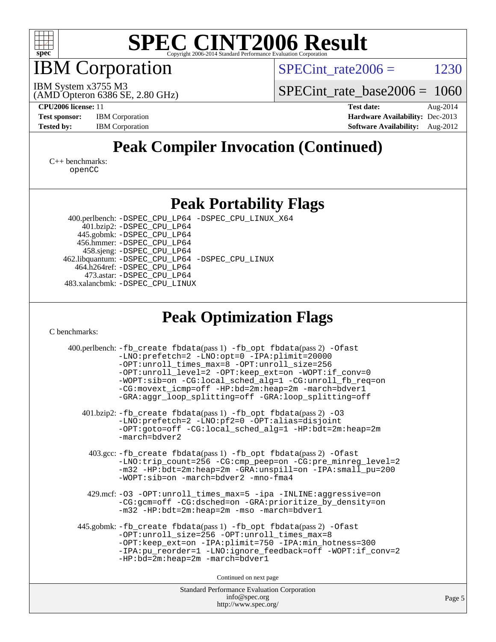

IBM Corporation

 $SPECTnt_rate2006 = 1230$ 

(AMD Opteron 6386 SE, 2.80 GHz) IBM System x3755 M3

[SPECint\\_rate\\_base2006 =](http://www.spec.org/auto/cpu2006/Docs/result-fields.html#SPECintratebase2006) 1060

**[CPU2006 license:](http://www.spec.org/auto/cpu2006/Docs/result-fields.html#CPU2006license)** 11 **[Test date:](http://www.spec.org/auto/cpu2006/Docs/result-fields.html#Testdate)** Aug-2014 **[Test sponsor:](http://www.spec.org/auto/cpu2006/Docs/result-fields.html#Testsponsor)** IBM Corporation **[Hardware Availability:](http://www.spec.org/auto/cpu2006/Docs/result-fields.html#HardwareAvailability)** Dec-2013 **[Tested by:](http://www.spec.org/auto/cpu2006/Docs/result-fields.html#Testedby)** IBM Corporation **[Software Availability:](http://www.spec.org/auto/cpu2006/Docs/result-fields.html#SoftwareAvailability)** Aug-2012

### **[Peak Compiler Invocation \(Continued\)](http://www.spec.org/auto/cpu2006/Docs/result-fields.html#PeakCompilerInvocation)**

[C++ benchmarks:](http://www.spec.org/auto/cpu2006/Docs/result-fields.html#CXXbenchmarks) [openCC](http://www.spec.org/cpu2006/results/res2014q3/cpu2006-20140812-30909.flags.html#user_CXXpeak_FopenCC)

#### **[Peak Portability Flags](http://www.spec.org/auto/cpu2006/Docs/result-fields.html#PeakPortabilityFlags)**

 400.perlbench: [-DSPEC\\_CPU\\_LP64](http://www.spec.org/cpu2006/results/res2014q3/cpu2006-20140812-30909.flags.html#b400.perlbench_peakPORTABILITY_DSPEC_CPU_LP64) [-DSPEC\\_CPU\\_LINUX\\_X64](http://www.spec.org/cpu2006/results/res2014q3/cpu2006-20140812-30909.flags.html#b400.perlbench_peakCPORTABILITY_DSPEC_CPU_LINUX_X64) 401.bzip2: [-DSPEC\\_CPU\\_LP64](http://www.spec.org/cpu2006/results/res2014q3/cpu2006-20140812-30909.flags.html#suite_peakPORTABILITY401_bzip2_DSPEC_CPU_LP64) 445.gobmk: [-DSPEC\\_CPU\\_LP64](http://www.spec.org/cpu2006/results/res2014q3/cpu2006-20140812-30909.flags.html#suite_peakPORTABILITY445_gobmk_DSPEC_CPU_LP64) 456.hmmer: [-DSPEC\\_CPU\\_LP64](http://www.spec.org/cpu2006/results/res2014q3/cpu2006-20140812-30909.flags.html#suite_peakPORTABILITY456_hmmer_DSPEC_CPU_LP64) 458.sjeng: [-DSPEC\\_CPU\\_LP64](http://www.spec.org/cpu2006/results/res2014q3/cpu2006-20140812-30909.flags.html#suite_peakPORTABILITY458_sjeng_DSPEC_CPU_LP64) 462.libquantum: [-DSPEC\\_CPU\\_LP64](http://www.spec.org/cpu2006/results/res2014q3/cpu2006-20140812-30909.flags.html#suite_peakPORTABILITY462_libquantum_DSPEC_CPU_LP64) [-DSPEC\\_CPU\\_LINUX](http://www.spec.org/cpu2006/results/res2014q3/cpu2006-20140812-30909.flags.html#b462.libquantum_peakCPORTABILITY_DSPEC_CPU_LINUX) 464.h264ref: [-DSPEC\\_CPU\\_LP64](http://www.spec.org/cpu2006/results/res2014q3/cpu2006-20140812-30909.flags.html#suite_peakPORTABILITY464_h264ref_DSPEC_CPU_LP64) 473.astar: [-DSPEC\\_CPU\\_LP64](http://www.spec.org/cpu2006/results/res2014q3/cpu2006-20140812-30909.flags.html#suite_peakPORTABILITY473_astar_DSPEC_CPU_LP64) 483.xalancbmk: [-DSPEC\\_CPU\\_LINUX](http://www.spec.org/cpu2006/results/res2014q3/cpu2006-20140812-30909.flags.html#b483.xalancbmk_peakCXXPORTABILITY_DSPEC_CPU_LINUX)

### **[Peak Optimization Flags](http://www.spec.org/auto/cpu2006/Docs/result-fields.html#PeakOptimizationFlags)**

[C benchmarks](http://www.spec.org/auto/cpu2006/Docs/result-fields.html#Cbenchmarks):

| 400.perlbench: -fb_create fbdata(pass 1) -fb_opt fbdata(pass 2) -Ofast<br>-LNO:prefetch=2 -LNO:opt=0 -IPA:plimit=20000<br>-OPT:unroll_times_max=8 -OPT:unroll_size=256<br>-OPT:unroll_level=2 -OPT:keep_ext=on -WOPT:if_conv=0<br>-WOPT:sib=on -CG:local_sched_alg=1 -CG:unroll_fb_req=on<br>-CG:movext_icmp=off -HP:bd=2m:heap=2m -march=bdver1<br>-GRA:aggr_loop_splitting=off -GRA:loop_splitting=off |  |  |  |  |  |
|----------------------------------------------------------------------------------------------------------------------------------------------------------------------------------------------------------------------------------------------------------------------------------------------------------------------------------------------------------------------------------------------------------|--|--|--|--|--|
| 401.bzip2: -fb_create fbdata(pass 1) -fb_opt fbdata(pass 2) -03<br>-LNO: prefetch=2 -LNO: pf2=0 -OPT: alias=disjoint<br>-OPT:goto=off -CG:local_sched_alg=1 -HP:bdt=2m:heap=2m<br>$-march =$ bdver $2$                                                                                                                                                                                                   |  |  |  |  |  |
| 403.gcc: -fb_create fbdata(pass 1) -fb_opt fbdata(pass 2) -Ofast<br>-LNO:trip_count=256 -CG:cmp_peep=on -CG:pre_minreg_level=2<br>-m32 -HP:bdt=2m:heap=2m -GRA:unspill=on -IPA:small_pu=200<br>$-WOPT:$ sib=on -march=bdver2 -mno-fma4                                                                                                                                                                   |  |  |  |  |  |
| 429.mcf: -03 -OPT:unroll_times_max=5 -ipa -INLINE:aggressive=on<br>-CG:gcm=off -CG:dsched=on -GRA:prioritize_by_density=on<br>-m32 -HP:bdt=2m:heap=2m -mso -march=bdver1                                                                                                                                                                                                                                 |  |  |  |  |  |
| 445.gobmk: -fb_create fbdata(pass 1) -fb_opt fbdata(pass 2) -Ofast<br>-OPT:unroll_size=256 -OPT:unroll_times_max=8<br>-OPT:keep_ext=on -IPA:plimit=750 -IPA:min_hotness=300<br>-IPA:pu_reorder=1 -LNO:ignore_feedback=off -WOPT:if_conv=2<br>$-HP:bd=2m:heap=2m -march=bdver1$                                                                                                                           |  |  |  |  |  |
| Continued on next page                                                                                                                                                                                                                                                                                                                                                                                   |  |  |  |  |  |
| <b>Standard Performance Evaluation Corporation</b>                                                                                                                                                                                                                                                                                                                                                       |  |  |  |  |  |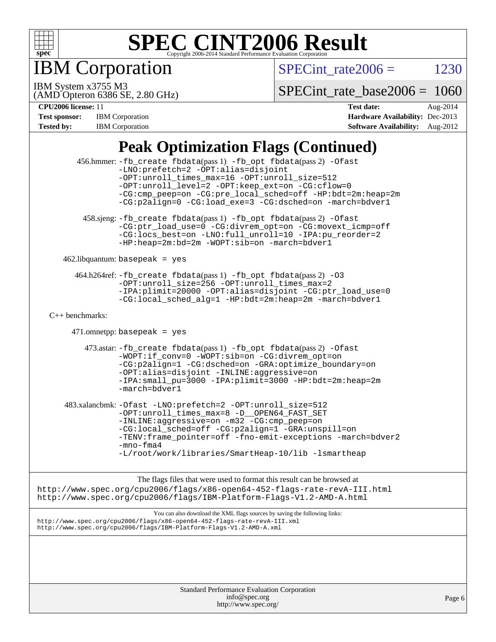

**IBM** Corporation

 $SPECTnt_rate2006 = 1230$ 

(AMD Opteron 6386 SE, 2.80 GHz) IBM System x3755 M3

[SPECint\\_rate\\_base2006 =](http://www.spec.org/auto/cpu2006/Docs/result-fields.html#SPECintratebase2006) 1060

**[CPU2006 license:](http://www.spec.org/auto/cpu2006/Docs/result-fields.html#CPU2006license)** 11 **[Test date:](http://www.spec.org/auto/cpu2006/Docs/result-fields.html#Testdate)** Aug-2014 **[Test sponsor:](http://www.spec.org/auto/cpu2006/Docs/result-fields.html#Testsponsor)** IBM Corporation **[Hardware Availability:](http://www.spec.org/auto/cpu2006/Docs/result-fields.html#HardwareAvailability)** Dec-2013 **[Tested by:](http://www.spec.org/auto/cpu2006/Docs/result-fields.html#Testedby)** IBM Corporation **[Software Availability:](http://www.spec.org/auto/cpu2006/Docs/result-fields.html#SoftwareAvailability)** Aug-2012

## **[Peak Optimization Flags \(Continued\)](http://www.spec.org/auto/cpu2006/Docs/result-fields.html#PeakOptimizationFlags)**

|                      | 456.hmmer: -fb_create fbdata(pass 1) -fb_opt fbdata(pass 2) -Ofast<br>-LNO: prefetch=2 -OPT: alias=disjoint<br>-OPT: unroll times max=16 -OPT: unroll size=512<br>-OPT:unroll_level=2 -OPT:keep_ext=on -CG:cflow=0<br>-CG:cmp_peep=on -CG:pre_local_sched=off -HP:bdt=2m:heap=2m<br>-CG:p2align=0 -CG:load exe=3 -CG:dsched=on -march=bdver1     |  |
|----------------------|--------------------------------------------------------------------------------------------------------------------------------------------------------------------------------------------------------------------------------------------------------------------------------------------------------------------------------------------------|--|
|                      | 458.sjeng: -fb_create fbdata(pass 1) -fb_opt fbdata(pass 2) -Ofast<br>-CG:ptr_load_use=0 -CG:divrem_opt=on -CG:movext_icmp=off<br>-CG:locs_best=on -LNO:full_unroll=10 -IPA:pu_reorder=2<br>-HP:heap=2m:bd=2m -WOPT:sib=on -march=bdver1                                                                                                         |  |
|                      | $462$ .libquantum: basepeak = yes                                                                                                                                                                                                                                                                                                                |  |
|                      | 464.h264ref: -fb_create fbdata(pass 1) -fb_opt fbdata(pass 2) -03<br>-OPT:unroll_size=256 -OPT:unroll_times_max=2<br>-IPA:plimit=20000 -OPT:alias=disjoint -CG:ptr_load_use=0<br>-CG:local_sched_alg=1 -HP:bdt=2m:heap=2m -march=bdver1                                                                                                          |  |
| $C_{++}$ benchmarks: |                                                                                                                                                                                                                                                                                                                                                  |  |
|                      | $471.$ omnetpp: basepeak = yes                                                                                                                                                                                                                                                                                                                   |  |
|                      | 473.astar: -fb_create fbdata(pass 1) -fb_opt fbdata(pass 2) -Ofast<br>-WOPT:if_conv=0 -WOPT:sib=on -CG:divrem_opt=on<br>-CG:p2align=1 -CG:dsched=on -GRA:optimize_boundary=on<br>-OPT:alias=disjoint -INLINE:aggressive=on<br>-IPA: small_pu=3000 -IPA: plimit=3000 -HP: bdt=2m: heap=2m<br>-march=bdver1                                        |  |
|                      | 483.xalancbmk: -Ofast -LNO:prefetch=2 -OPT:unroll_size=512<br>-OPT:unroll_times_max=8 -D__OPEN64_FAST_SET<br>-INLINE:aggressive=on -m32 -CG:cmp_peep=on<br>-CG:local_sched=off -CG:p2align=1 -GRA:unspill=on<br>-TENV:frame_pointer=off -fno-emit-exceptions -march=bdver2<br>$-mno-fma4$<br>-L/root/work/libraries/SmartHeap-10/lib -lsmartheap |  |
|                      | The flags files that were used to format this result can be browsed at<br>http://www.spec.org/cpu2006/flags/x86-open64-452-flags-rate-revA-III.html<br>http://www.spec.org/cpu2006/flags/IBM-Platform-Flags-V1.2-AMD-A.html                                                                                                                      |  |
|                      | You can also download the XML flags sources by saving the following links:<br>http://www.spec.org/cpu2006/flags/x86-open64-452-flags-rate-revA-III.xml<br>http://www.spec.org/cpu2006/flags/IBM-Platform-Flags-V1.2-AMD-A.xml                                                                                                                    |  |
|                      |                                                                                                                                                                                                                                                                                                                                                  |  |